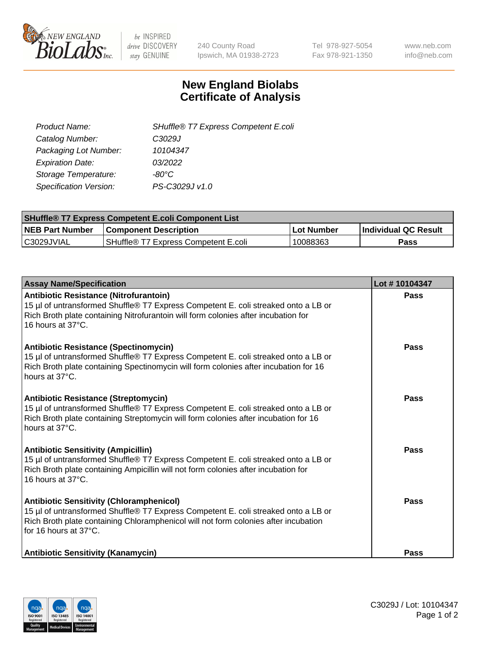

 $be$  INSPIRED drive DISCOVERY stay GENUINE

240 County Road Ipswich, MA 01938-2723 Tel 978-927-5054 Fax 978-921-1350 www.neb.com info@neb.com

## **New England Biolabs Certificate of Analysis**

| SHuffle® T7 Express Competent E.coli |
|--------------------------------------|
| C3029J                               |
| 10104347                             |
| 03/2022                              |
| -80°C.                               |
| PS-C3029J v1.0                       |
|                                      |

| <b>SHuffle<sup>®</sup> T7 Express Competent E.coli Component List</b> |                                      |            |                             |  |
|-----------------------------------------------------------------------|--------------------------------------|------------|-----------------------------|--|
| <b>NEB Part Number</b>                                                | <b>Component Description</b>         | Lot Number | <b>Individual QC Result</b> |  |
| C3029JVIAL                                                            | SHuffle® T7 Express Competent E.coli | 10088363   | <b>Pass</b>                 |  |

| <b>Assay Name/Specification</b>                                                                                                                                                                                                                       | Lot #10104347 |
|-------------------------------------------------------------------------------------------------------------------------------------------------------------------------------------------------------------------------------------------------------|---------------|
| <b>Antibiotic Resistance (Nitrofurantoin)</b><br>15 µl of untransformed Shuffle® T7 Express Competent E. coli streaked onto a LB or<br>Rich Broth plate containing Nitrofurantoin will form colonies after incubation for<br>16 hours at 37°C.        | Pass          |
| <b>Antibiotic Resistance (Spectinomycin)</b><br>15 µl of untransformed Shuffle® T7 Express Competent E. coli streaked onto a LB or<br>Rich Broth plate containing Spectinomycin will form colonies after incubation for 16<br>hours at 37°C.          | Pass          |
| <b>Antibiotic Resistance (Streptomycin)</b><br>15 µl of untransformed Shuffle® T7 Express Competent E. coli streaked onto a LB or<br>Rich Broth plate containing Streptomycin will form colonies after incubation for 16<br>hours at 37°C.            | Pass          |
| <b>Antibiotic Sensitivity (Ampicillin)</b><br>15 µl of untransformed Shuffle® T7 Express Competent E. coli streaked onto a LB or<br>Rich Broth plate containing Ampicillin will not form colonies after incubation for<br>16 hours at $37^{\circ}$ C. | <b>Pass</b>   |
| <b>Antibiotic Sensitivity (Chloramphenicol)</b><br>15 µl of untransformed Shuffle® T7 Express Competent E. coli streaked onto a LB or<br>Rich Broth plate containing Chloramphenicol will not form colonies after incubation<br>for 16 hours at 37°C. | Pass          |
| <b>Antibiotic Sensitivity (Kanamycin)</b>                                                                                                                                                                                                             | Pass          |